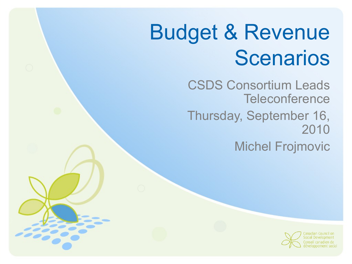# Budget & Revenue **Scenarios**

CSDS Consortium Leads **Teleconference** Thursday, September 16, 2010 Michel Frojmovic

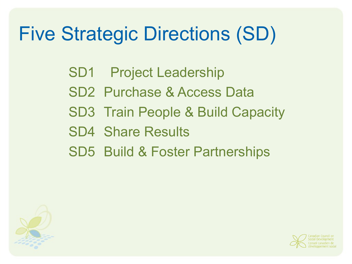### Five Strategic Directions (SD)

- SD1 Project Leadership
- SD2 Purchase & Access Data
- SD3 Train People & Build Capacity
- SD4 Share Results
- SD5 Build & Foster Partnerships



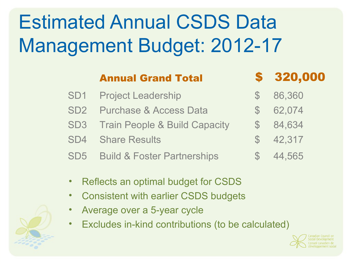## Estimated Annual CSDS Data Management Budget: 2012-17

#### Annual Grand Total \$ 320,000

#### SD1 Project Leadership  $$86,360$

- SD2 Purchase & Access Data  $$62,074$
- SD3 Train People & Build Capacity \$ 84,634
- SD4 Share Results \$ 42,317
- SD5 Build & Foster Partnerships \$ 44,565

- 
- 
- -
- Reflects an optimal budget for CSDS
- Consistent with earlier CSDS budgets
- Average over a 5-year cycle
- Excludes in-kind contributions (to be calculated)



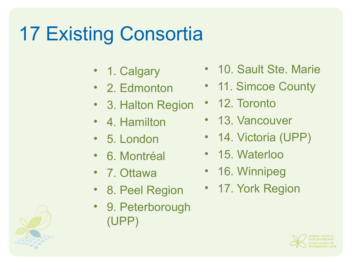### 17 Existing Consortia

- 1. Calgary
- 2. Edmonton
- 3. Halton Region
- 4. Hamilton
- 5. London
- 6. Montréal
- 7. Ottawa
- 8. Peel Region
- 9. Peterborough (UPP)
- 10. Sault Ste. Marie
- 11. Simcoe County
- 12. Toronto
- 13. Vancouver
- 14. Victoria (UPP)
- 15. Waterloo
- 16. Winnipeg
- 17. York Region



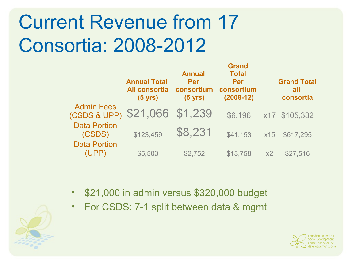## Current Revenue from 17 Consortia: 2008-2012

|                                   | <b>Annual Total</b><br><b>All consortia</b><br>$(5 \text{ yrs})$ | <b>Annual</b><br>Per<br>consortium<br>$(5 \text{ yrs})$ | Granu<br><b>Total</b><br>Per<br>consortium<br>$(2008-12)$ |     | <b>Grand Total</b><br>all<br>consortia |
|-----------------------------------|------------------------------------------------------------------|---------------------------------------------------------|-----------------------------------------------------------|-----|----------------------------------------|
| <b>Admin Fees</b><br>(CSDS & UPP) | \$21,066 \$1,239                                                 |                                                         | \$6,196                                                   |     | x17 \$105,332                          |
| <b>Data Portion</b><br>(CSDS)     | \$123,459                                                        | \$8,231                                                 | \$41,153                                                  | x15 | \$617,295                              |
| <b>Data Portion</b><br>(UPP)      | \$5,503                                                          | \$2,752                                                 | \$13,758                                                  | x2  | \$27,516                               |

**Grand** 

- \$21,000 in admin versus \$320,000 budget
- For CSDS: 7-1 split between data & mgmt



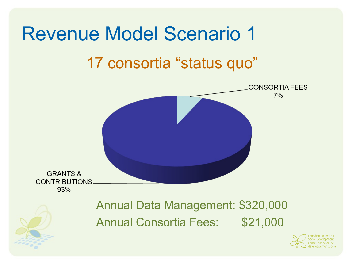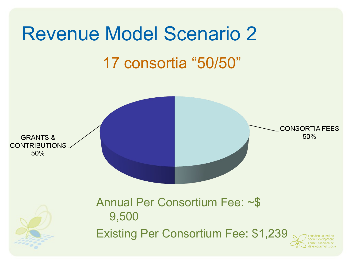

Annual Per Consortium Fee: ~\$ 9,500 Existing Per Consortium Fee: \$1,239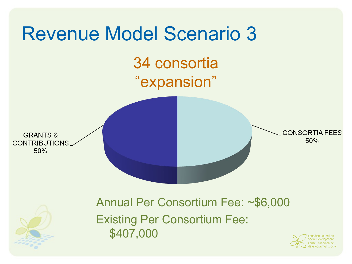

Annual Per Consortium Fee: ~\$6,000 Existing Per Consortium Fee: \$407,000